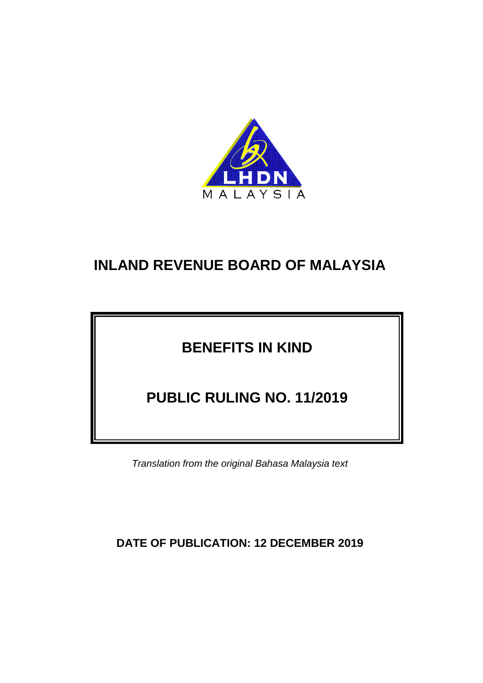

# **BENEFITS IN KIND**

**PUBLIC RULING NO. 11/2019**

*Translation from the original Bahasa Malaysia text*

# **DATE OF PUBLICATION: 12 DECEMBER 2019**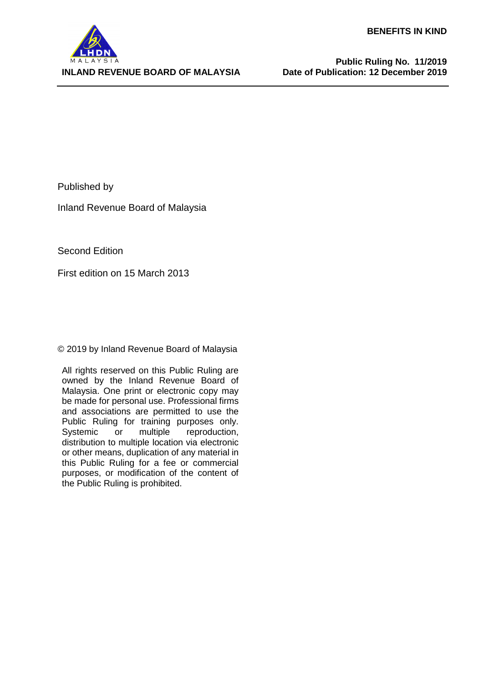

Published by

Inland Revenue Board of Malaysia

Second Edition

First edition on 15 March 2013

© 2019 by Inland Revenue Board of Malaysia

All rights reserved on this Public Ruling are owned by the Inland Revenue Board of Malaysia. One print or electronic copy may be made for personal use. Professional firms and associations are permitted to use the Public Ruling for training purposes only.<br>Systemic or multiple reproduction, reproduction, distribution to multiple location via electronic or other means, duplication of any material in this Public Ruling for a fee or commercial purposes, or modification of the content of the Public Ruling is prohibited.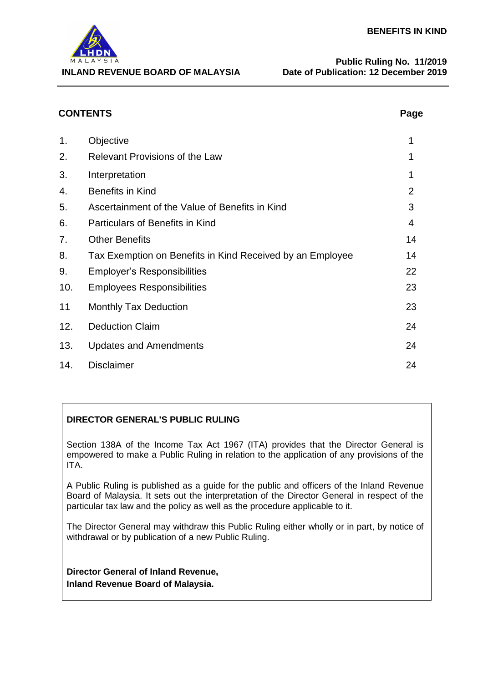

| <b>CONTENTS</b> |                                                           | Page           |
|-----------------|-----------------------------------------------------------|----------------|
| 1.              | Objective                                                 | 1              |
| 2.              | <b>Relevant Provisions of the Law</b>                     |                |
| 3.              | Interpretation                                            |                |
| 4.              | <b>Benefits in Kind</b>                                   | $\overline{2}$ |
| 5.              | Ascertainment of the Value of Benefits in Kind            | 3              |
| 6.              | Particulars of Benefits in Kind                           | 4              |
| 7.              | <b>Other Benefits</b>                                     | 14             |
| 8.              | Tax Exemption on Benefits in Kind Received by an Employee | 14             |
| 9.              | <b>Employer's Responsibilities</b>                        | 22             |
| 10.             | <b>Employees Responsibilities</b>                         | 23             |
| 11              | <b>Monthly Tax Deduction</b>                              | 23             |
| 12.             | <b>Deduction Claim</b>                                    | 24             |
| 13.             | <b>Updates and Amendments</b>                             | 24             |
| 14.             | <b>Disclaimer</b>                                         | 24             |

# **DIRECTOR GENERAL'S PUBLIC RULING**

Section 138A of the Income Tax Act 1967 (ITA) provides that the Director General is empowered to make a Public Ruling in relation to the application of any provisions of the ITA.

A Public Ruling is published as a guide for the public and officers of the Inland Revenue Board of Malaysia. It sets out the interpretation of the Director General in respect of the particular tax law and the policy as well as the procedure applicable to it.

The Director General may withdraw this Public Ruling either wholly or in part, by notice of withdrawal or by publication of a new Public Ruling.

**Director General of Inland Revenue, Inland Revenue Board of Malaysia.**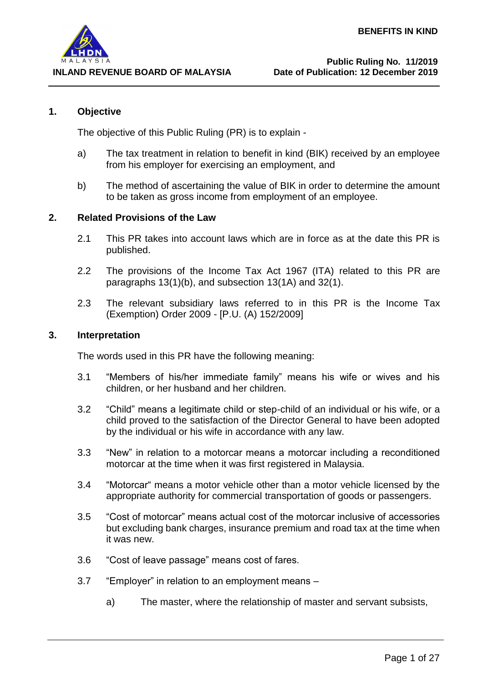

### **1. Objective**

The objective of this Public Ruling (PR) is to explain -

- a) The tax treatment in relation to benefit in kind (BIK) received by an employee from his employer for exercising an employment, and
- b) The method of ascertaining the value of BIK in order to determine the amount to be taken as gross income from employment of an employee.

### **2. Related Provisions of the Law**

- 2.1 This PR takes into account laws which are in force as at the date this PR is published.
- 2.2 The provisions of the Income Tax Act 1967 (ITA) related to this PR are paragraphs 13(1)(b), and subsection 13(1A) and 32(1).
- 2.3 The relevant subsidiary laws referred to in this PR is the Income Tax (Exemption) Order 2009 - [P.U. (A) 152/2009]

#### **3. Interpretation**

The words used in this PR have the following meaning:

- 3.1 "Members of his/her immediate family" means his wife or wives and his children, or her husband and her children.
- 3.2 "Child" means a legitimate child or step-child of an individual or his wife, or a child proved to the satisfaction of the Director General to have been adopted by the individual or his wife in accordance with any law.
- 3.3 "New" in relation to a motorcar means a motorcar including a reconditioned motorcar at the time when it was first registered in Malaysia.
- 3.4 "Motorcar" means a motor vehicle other than a motor vehicle licensed by the appropriate authority for commercial transportation of goods or passengers.
- 3.5 "Cost of motorcar" means actual cost of the motorcar inclusive of accessories but excluding bank charges, insurance premium and road tax at the time when it was new.
- 3.6 "Cost of leave passage" means cost of fares.
- 3.7 "Employer" in relation to an employment means
	- a) The master, where the relationship of master and servant subsists,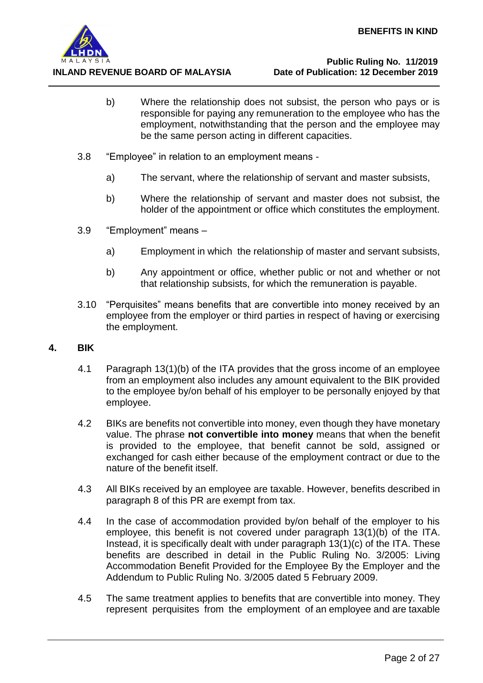

- b) Where the relationship does not subsist, the person who pays or is responsible for paying any remuneration to the employee who has the employment, notwithstanding that the person and the employee may be the same person acting in different capacities.
- 3.8 "Employee" in relation to an employment means
	- a) The servant, where the relationship of servant and master subsists,
	- b) Where the relationship of servant and master does not subsist, the holder of the appointment or office which constitutes the employment.
- 3.9 "Employment" means
	- a) Employment in which the relationship of master and servant subsists,
	- b) Any appointment or office, whether public or not and whether or not that relationship subsists, for which the remuneration is payable.
- 3.10 "Perquisites" means benefits that are convertible into money received by an employee from the employer or third parties in respect of having or exercising the employment.

#### **4. BIK**

- 4.1 Paragraph 13(1)(b) of the ITA provides that the gross income of an employee from an employment also includes any amount equivalent to the BIK provided to the employee by/on behalf of his employer to be personally enjoyed by that employee.
- 4.2 BIKs are benefits not convertible into money, even though they have monetary value. The phrase **not convertible into money** means that when the benefit is provided to the employee, that benefit cannot be sold, assigned or exchanged for cash either because of the employment contract or due to the nature of the benefit itself.
- 4.3 All BIKs received by an employee are taxable. However, benefits described in paragraph 8 of this PR are exempt from tax.
- 4.4 In the case of accommodation provided by/on behalf of the employer to his employee, this benefit is not covered under paragraph 13(1)(b) of the ITA. Instead, it is specifically dealt with under paragraph 13(1)(c) of the ITA. These benefits are described in detail in the [Public Ruling No. 3/2005: L](http://www.hasil.gov.my/pdf/pdfam/PR3_2005.pdf)iving Accommodation Benefit Provided for the Employee By the Employer and the Addendum to Public Ruling No. 3/2005 dated 5 February 2009.
- 4.5 The same treatment applies to benefits that are convertible into money. They represent perquisites from the employment of an employee and are taxable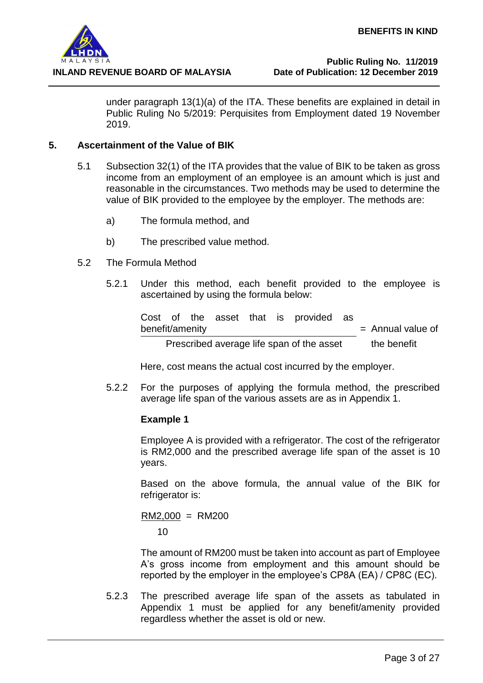

under paragraph 13(1)(a) of the ITA. These benefits are explained in detail in [Public Ruling No](http://www.hasil.gov.my/pdf/pdfam/PR2_2013.pdf) 5/2019: Perquisites from Employment dated 19 November 2019.

### **5. Ascertainment of the Value of BIK**

- 5.1 Subsection 32(1) of the ITA provides that the value of BIK to be taken as gross income from an employment of an employee is an amount which is just and reasonable in the circumstances. Two methods may be used to determine the value of BIK provided to the employee by the employer. The methods are:
	- a) The formula method, and
	- b) The prescribed value method.
- 5.2 The Formula Method
	- 5.2.1 Under this method, each benefit provided to the employee is ascertained by using the formula below:

|  |                 |  | Cost of the asset that is provided as     |  |                     |
|--|-----------------|--|-------------------------------------------|--|---------------------|
|  | benefit/amenity |  |                                           |  | $=$ Annual value of |
|  |                 |  | Prescribed average life span of the asset |  | the benefit         |

Here, cost means the actual cost incurred by the employer.

5.2.2 For the purposes of applying the formula method, the prescribed average life span of the various assets are as in Appendix 1.

### **Example 1**

Employee A is provided with a refrigerator. The cost of the refrigerator is RM2,000 and the prescribed average life span of the asset is 10 years.

Based on the above formula, the annual value of the BIK for refrigerator is:

 $RM2,000 = RM200$ 10

The amount of RM200 must be taken into account as part of Employee A's gross income from employment and this amount should be reported by the employer in the employee's CP8A (EA) / CP8C (EC).

5.2.3 The prescribed average life span of the assets as tabulated in Appendix 1 must be applied for any benefit/amenity provided regardless whether the asset is old or new.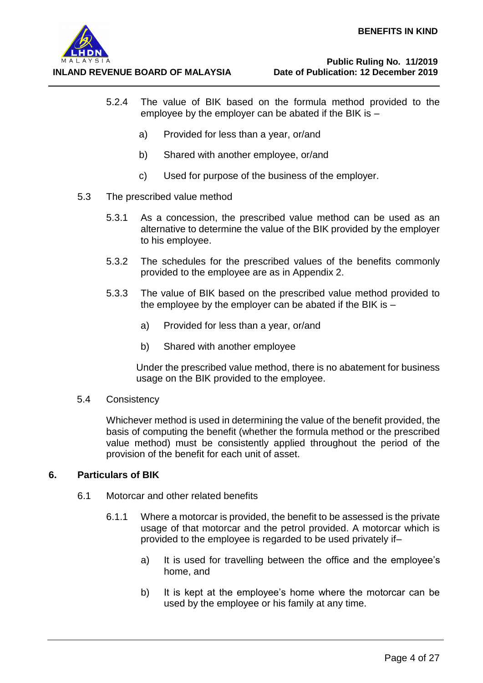

- 5.2.4 The value of BIK based on the formula method provided to the employee by the employer can be abated if the BIK is –
	- a) Provided for less than a year, or/and
	- b) Shared with another employee, or/and
	- c) Used for purpose of the business of the employer.
- 5.3 The prescribed value method
	- 5.3.1 As a concession, the prescribed value method can be used as an alternative to determine the value of the BIK provided by the employer to his employee.
	- 5.3.2 The schedules for the prescribed values of the benefits commonly provided to the employee are as in Appendix 2.
	- 5.3.3 The value of BIK based on the prescribed value method provided to the employee by the employer can be abated if the BIK is –
		- a) Provided for less than a year, or/and
		- b) Shared with another employee

Under the prescribed value method, there is no abatement for business usage on the BIK provided to the employee.

5.4 Consistency

Whichever method is used in determining the value of the benefit provided, the basis of computing the benefit (whether the formula method or the prescribed value method) must be consistently applied throughout the period of the provision of the benefit for each unit of asset.

## **6. Particulars of BIK**

- 6.1 Motorcar and other related benefits
	- 6.1.1 Where a motorcar is provided, the benefit to be assessed is the private usage of that motorcar and the petrol provided. A motorcar which is provided to the employee is regarded to be used privately if–
		- a) It is used for travelling between the office and the employee's home, and
		- b) It is kept at the employee's home where the motorcar can be used by the employee or his family at any time.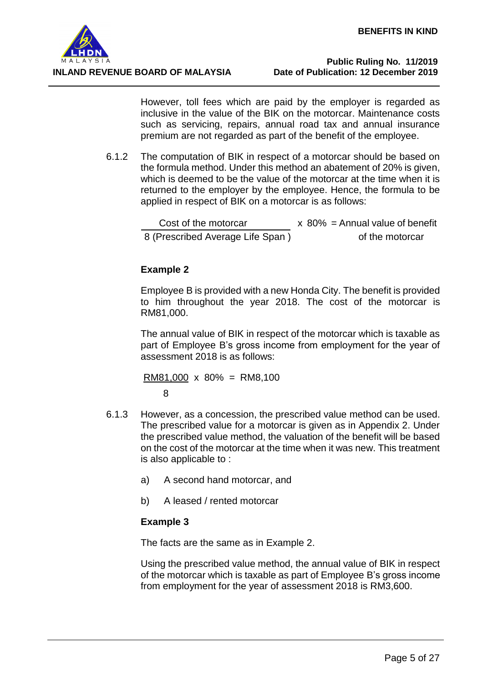

However, toll fees which are paid by the employer is regarded as inclusive in the value of the BIK on the motorcar. Maintenance costs such as servicing, repairs, annual road tax and annual insurance premium are not regarded as part of the benefit of the employee.

6.1.2 The computation of BIK in respect of a motorcar should be based on the formula method. Under this method an abatement of 20% is given, which is deemed to be the value of the motorcar at the time when it is returned to the employer by the employee. Hence, the formula to be applied in respect of BIK on a motorcar is as follows:

```
Cost of the motorcar x 80\% = Annual value of benefit
8 (Prescribed Average Life Span) of the motorcar
```
# **Example 2**

Employee B is provided with a new Honda City. The benefit is provided to him throughout the year 2018. The cost of the motorcar is RM81,000.

The annual value of BIK in respect of the motorcar which is taxable as part of Employee B's gross income from employment for the year of assessment 2018 is as follows:

RM81,000 x 80% = RM8,100 8

- 6.1.3 However, as a concession, the prescribed value method can be used. The prescribed value for a motorcar is given as in Appendix 2. Under the prescribed value method, the valuation of the benefit will be based on the cost of the motorcar at the time when it was new. This treatment is also applicable to :
	- a) A second hand motorcar, and
	- b) A leased / rented motorcar

# **Example 3**

The facts are the same as in Example 2.

Using the prescribed value method, the annual value of BIK in respect of the motorcar which is taxable as part of Employee B's gross income from employment for the year of assessment 2018 is RM3,600.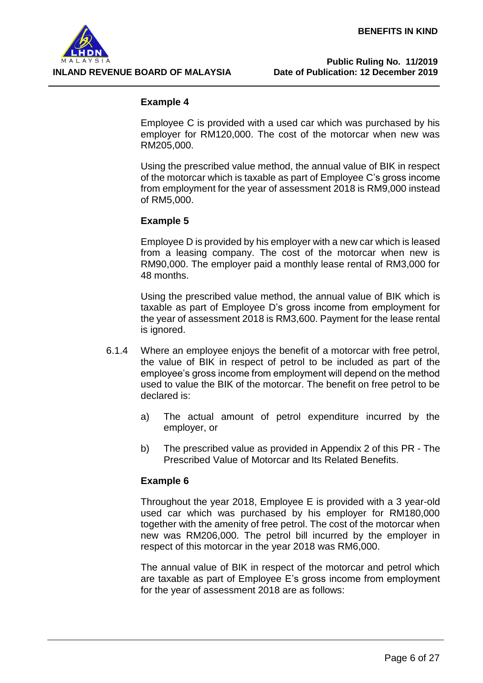

### **Example 4**

Employee C is provided with a used car which was purchased by his employer for RM120,000. The cost of the motorcar when new was RM205,000.

Using the prescribed value method, the annual value of BIK in respect of the motorcar which is taxable as part of Employee C's gross income from employment for the year of assessment 2018 is RM9,000 instead of RM5,000.

### **Example 5**

Employee D is provided by his employer with a new car which is leased from a leasing company. The cost of the motorcar when new is RM90,000. The employer paid a monthly lease rental of RM3,000 for 48 months.

Using the prescribed value method, the annual value of BIK which is taxable as part of Employee D's gross income from employment for the year of assessment 2018 is RM3,600. Payment for the lease rental is ignored.

- 6.1.4 Where an employee enjoys the benefit of a motorcar with free petrol, the value of BIK in respect of petrol to be included as part of the employee's gross income from employment will depend on the method used to value the BIK of the motorcar. The benefit on free petrol to be declared is:
	- a) The actual amount of petrol expenditure incurred by the employer, or
	- b) The prescribed value as provided in Appendix 2 of this PR The Prescribed Value of Motorcar and Its Related Benefits.

### **Example 6**

Throughout the year 2018, Employee E is provided with a 3 year-old used car which was purchased by his employer for RM180,000 together with the amenity of free petrol. The cost of the motorcar when new was RM206,000. The petrol bill incurred by the employer in respect of this motorcar in the year 2018 was RM6,000.

The annual value of BIK in respect of the motorcar and petrol which are taxable as part of Employee E's gross income from employment for the year of assessment 2018 are as follows: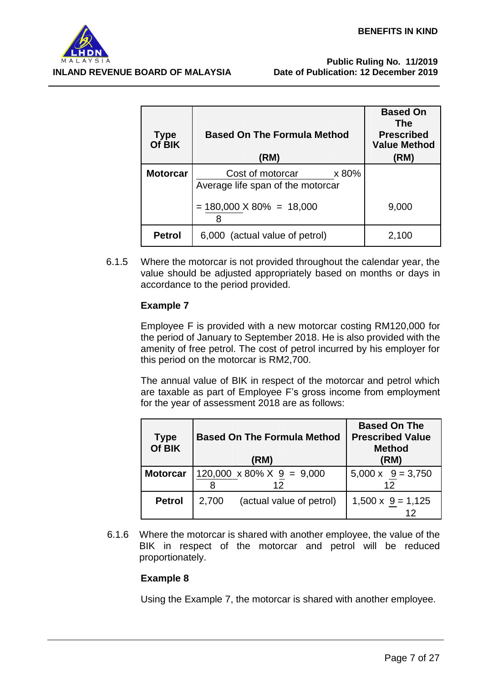

### **Public Ruling No. 11/2019 Date of Publication: 12 December 2019**

| <b>Type</b><br>Of BIK | <b>Based On The Formula Method</b><br>(RM)                     | <b>Based On</b><br>The<br><b>Prescribed</b><br><b>Value Method</b><br>(RM) |
|-----------------------|----------------------------------------------------------------|----------------------------------------------------------------------------|
| <b>Motorcar</b>       | Cost of motorcar<br>x 80%<br>Average life span of the motorcar |                                                                            |
|                       | $= 180,000 \times 80\% = 18,000$                               | 9,000                                                                      |
| <b>Petrol</b>         | 6,000 (actual value of petrol)                                 | 2,100                                                                      |

6.1.5 Where the motorcar is not provided throughout the calendar year, the value should be adjusted appropriately based on months or days in accordance to the period provided.

# **Example 7**

Employee F is provided with a new motorcar costing RM120,000 for the period of January to September 2018. He is also provided with the amenity of free petrol. The cost of petrol incurred by his employer for this period on the motorcar is RM2,700.

The annual value of BIK in respect of the motorcar and petrol which are taxable as part of Employee F's gross income from employment for the year of assessment 2018 are as follows:

| <b>Type</b><br>Of BIK | <b>Based On The Formula Method</b><br>(RM)    | <b>Based On The</b><br><b>Prescribed Value</b><br><b>Method</b><br>(RM) |
|-----------------------|-----------------------------------------------|-------------------------------------------------------------------------|
| <b>Motorcar</b>       | 120,000 $\times$ 80% $\times$ 9 = 9,000<br>12 | $5,000 \times 9 = 3,750$<br>12                                          |
| <b>Petrol</b>         | 2,700<br>(actual value of petrol)             | $1,500 \times 9 = 1,125$                                                |

6.1.6 Where the motorcar is shared with another employee, the value of the BIK in respect of the motorcar and petrol will be reduced proportionately.

# **Example 8**

Using the Example 7, the motorcar is shared with another employee.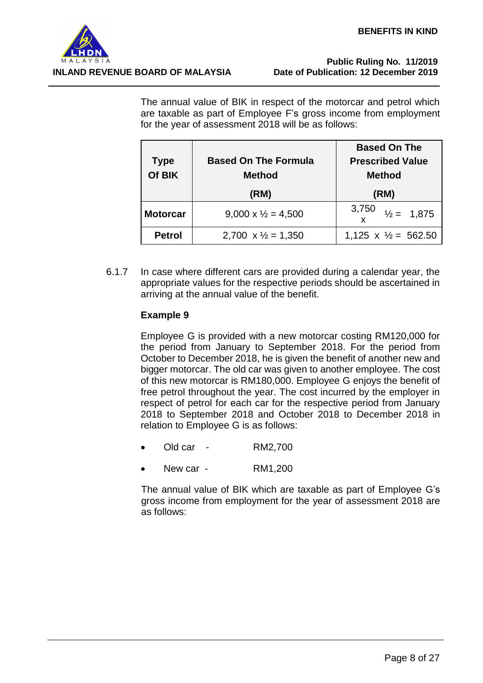

### **Public Ruling No. 11/2019 Date of Publication: 12 December 2019**

The annual value of BIK in respect of the motorcar and petrol which are taxable as part of Employee F's gross income from employment for the year of assessment 2018 will be as follows:

| Type<br>Of BIK  | <b>Based On The Formula</b><br><b>Method</b> | <b>Based On The</b><br><b>Prescribed Value</b><br><b>Method</b> |  |
|-----------------|----------------------------------------------|-----------------------------------------------------------------|--|
| <b>Motorcar</b> | (RM)<br>$9,000 \times \frac{1}{2} = 4,500$   | (RM)<br>3,750<br>$\frac{1}{2} = 1,875$                          |  |
| <b>Petrol</b>   | $2,700 \times \frac{1}{2} = 1,350$           | 1,125 x $\frac{1}{2}$ = 562.50                                  |  |

6.1.7 In case where different cars are provided during a calendar year, the appropriate values for the respective periods should be ascertained in arriving at the annual value of the benefit.

# **Example 9**

Employee G is provided with a new motorcar costing RM120,000 for the period from January to September 2018. For the period from October to December 2018, he is given the benefit of another new and bigger motorcar. The old car was given to another employee. The cost of this new motorcar is RM180,000. Employee G enjoys the benefit of free petrol throughout the year. The cost incurred by the employer in respect of petrol for each car for the respective period from January 2018 to September 2018 and October 2018 to December 2018 in relation to Employee G is as follows:

- Old car RM2,700
- New car RM1,200

The annual value of BIK which are taxable as part of Employee G's gross income from employment for the year of assessment 2018 are as follows: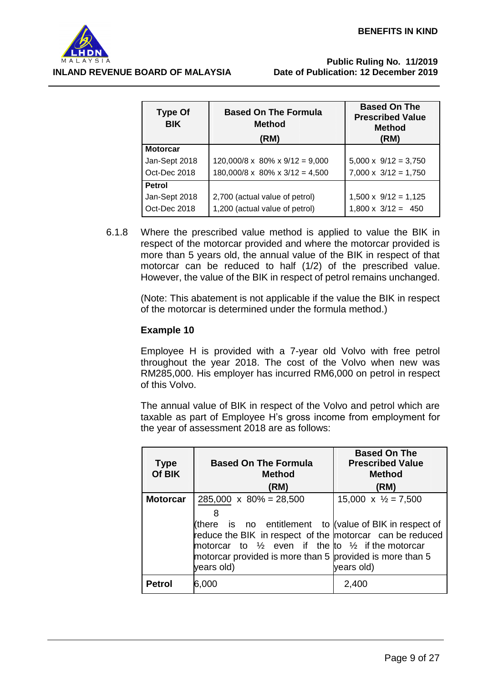

#### **Public Ruling No. 11/2019 Date of Publication: 12 December 2019**

| <b>Type Of</b><br><b>BIK</b> | <b>Based On The Formula</b><br><b>Method</b><br>(RM) | <b>Based On The</b><br><b>Prescribed Value</b><br><b>Method</b><br>(RM) |  |
|------------------------------|------------------------------------------------------|-------------------------------------------------------------------------|--|
| <b>Motorcar</b>              |                                                      |                                                                         |  |
| Jan-Sept 2018                | $120,000/8 \times 80\% \times 9/12 = 9,000$          | $5,000 \times 9/12 = 3,750$                                             |  |
| Oct-Dec 2018                 | $180,000/8 \times 80\% \times 3/12 = 4,500$          | $7,000 \times 3/12 = 1,750$                                             |  |
| <b>Petrol</b>                |                                                      |                                                                         |  |
| Jan-Sept 2018                | 2,700 (actual value of petrol)                       | $1,500 \times 9/12 = 1,125$                                             |  |
| Oct-Dec 2018                 | 1,200 (actual value of petrol)                       | $1,800 \times 3/12 = 450$                                               |  |

6.1.8 Where the prescribed value method is applied to value the BIK in respect of the motorcar provided and where the motorcar provided is more than 5 years old, the annual value of the BIK in respect of that motorcar can be reduced to half (1/2) of the prescribed value. However, the value of the BIK in respect of petrol remains unchanged.

> (Note: This abatement is not applicable if the value the BIK in respect of the motorcar is determined under the formula method.)

# **Example 10**

Employee H is provided with a 7-year old Volvo with free petrol throughout the year 2018. The cost of the Volvo when new was RM285,000. His employer has incurred RM6,000 on petrol in respect of this Volvo.

The annual value of BIK in respect of the Volvo and petrol which are taxable as part of Employee H's gross income from employment for the year of assessment 2018 are as follows:

| <b>Type</b><br>Of BIK | <b>Based On The Formula</b><br><b>Method</b><br>(RM)                                                                                                                                                                                                                                                                     | <b>Based On The</b><br><b>Prescribed Value</b><br><b>Method</b><br>(RM) |
|-----------------------|--------------------------------------------------------------------------------------------------------------------------------------------------------------------------------------------------------------------------------------------------------------------------------------------------------------------------|-------------------------------------------------------------------------|
| <b>Motorcar</b>       | $285,000 \times 80\% = 28,500$<br>8<br>(there is no entitlement to $\sqrt{(}$ value of BIK in respect of<br>reduce the BIK in respect of the motorcar can be reduced<br>motorcar to $\frac{1}{2}$ even if the to $\frac{1}{2}$ if the motorcar<br>motorcar provided is more than 5 provided is more than 5<br>years old) | 15,000 $\times$ 1/ <sub>2</sub> = 7,500<br>years old)                   |
| <b>Petrol</b>         | 6,000                                                                                                                                                                                                                                                                                                                    | 2,400                                                                   |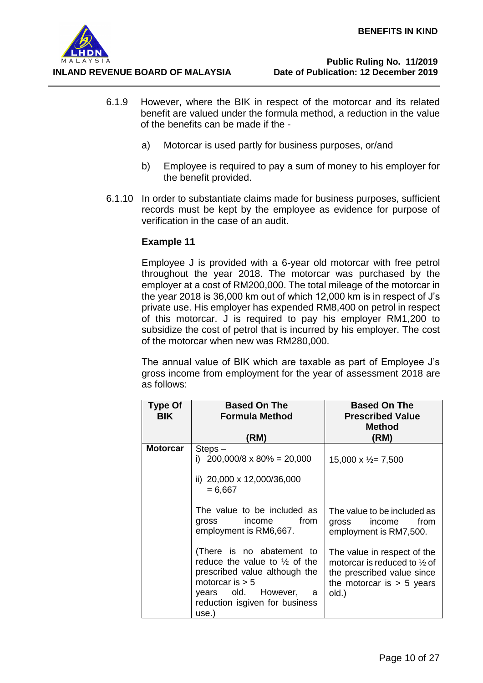

- 6.1.9 However, where the BIK in respect of the motorcar and its related benefit are valued under the formula method, a reduction in the value of the benefits can be made if the
	- a) Motorcar is used partly for business purposes, or/and
	- b) Employee is required to pay a sum of money to his employer for the benefit provided.
- 6.1.10 In order to substantiate claims made for business purposes, sufficient records must be kept by the employee as evidence for purpose of verification in the case of an audit.

## **Example 11**

Employee J is provided with a 6-year old motorcar with free petrol throughout the year 2018. The motorcar was purchased by the employer at a cost of RM200,000. The total mileage of the motorcar in the year 2018 is 36,000 km out of which 12,000 km is in respect of J's private use. His employer has expended RM8,400 on petrol in respect of this motorcar. J is required to pay his employer RM1,200 to subsidize the cost of petrol that is incurred by his employer. The cost of the motorcar when new was RM280,000.

The annual value of BIK which are taxable as part of Employee J's gross income from employment for the year of assessment 2018 are as follows:

| Type Of<br><b>BIK</b> | <b>Based On The</b><br><b>Formula Method</b>                                                                                                                                                       | <b>Based On The</b><br><b>Prescribed Value</b><br><b>Method</b>                                                                              |
|-----------------------|----------------------------------------------------------------------------------------------------------------------------------------------------------------------------------------------------|----------------------------------------------------------------------------------------------------------------------------------------------|
|                       | (RM)                                                                                                                                                                                               | (RM)                                                                                                                                         |
| <b>Motorcar</b>       | $Steps -$<br>i) $200,000/8 \times 80\% = 20,000$<br>ii) 20,000 x 12,000/36,000<br>$= 6,667$                                                                                                        | $15,000 \times \frac{1}{2} = 7,500$                                                                                                          |
|                       | The value to be included as<br>from<br>income<br>gross<br>employment is RM6,667.                                                                                                                   | The value to be included as<br>from<br>gross<br>income<br>employment is RM7,500.                                                             |
|                       | (There is no abatement to<br>reduce the value to $\frac{1}{2}$ of the<br>prescribed value although the<br>motorcar is $> 5$<br>years old. However,<br>a<br>reduction isgiven for business<br>use.) | The value in respect of the<br>motorcar is reduced to $\frac{1}{2}$ of<br>the prescribed value since<br>the motorcar is $> 5$ years<br>old.) |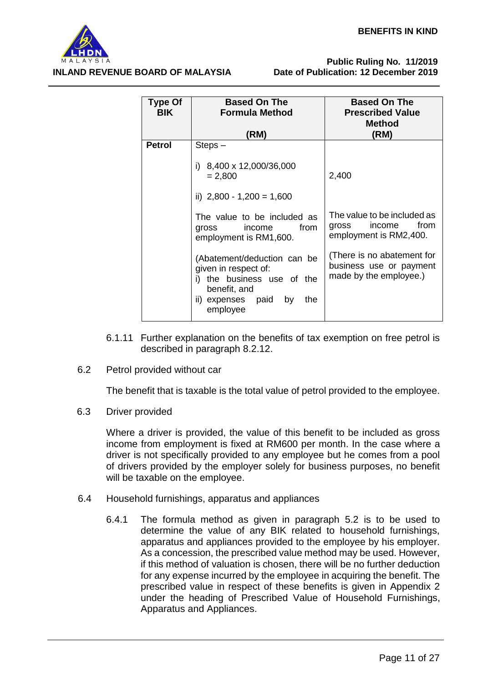

#### **Public Ruling No. 11/2019 Date of Publication: 12 December 2019**

| <b>Type Of</b><br><b>BIK</b> | <b>Based On The</b><br><b>Formula Method</b><br>(RM)                                                                | <b>Based On The</b><br><b>Prescribed Value</b><br>Method<br>(RM)                                               |
|------------------------------|---------------------------------------------------------------------------------------------------------------------|----------------------------------------------------------------------------------------------------------------|
| <b>Petrol</b>                | $Steps -$<br>8,400 x 12,000/36,000<br>i)<br>$= 2,800$<br>ii) $2,800 - 1,200 = 1,600$                                | 2,400                                                                                                          |
|                              | The value to be included as<br>from<br>income<br>gross<br>employment is RM1,600.<br>(Abatement/deduction can be     | The value to be included as<br>from<br>income<br>gross<br>employment is RM2,400.<br>(There is no abatement for |
|                              | given in respect of:<br>the business use of the<br>i)<br>benefit, and<br>ii) expenses paid<br>by<br>the<br>employee | business use or payment<br>made by the employee.)                                                              |

- 6.1.11 Further explanation on the benefits of tax exemption on free petrol is described in paragraph 8.2.12.
- 6.2 Petrol provided without car

The benefit that is taxable is the total value of petrol provided to the employee.

6.3 Driver provided

Where a driver is provided, the value of this benefit to be included as gross income from employment is fixed at RM600 per month. In the case where a driver is not specifically provided to any employee but he comes from a pool of drivers provided by the employer solely for business purposes, no benefit will be taxable on the employee.

- 6.4 Household furnishings, apparatus and appliances
	- 6.4.1 The formula method as given in paragraph 5.2 is to be used to determine the value of any BIK related to household furnishings, apparatus and appliances provided to the employee by his employer. As a concession, the prescribed value method may be used. However, if this method of valuation is chosen, there will be no further deduction for any expense incurred by the employee in acquiring the benefit. The prescribed value in respect of these benefits is given in Appendix 2 under the heading of Prescribed Value of Household Furnishings, Apparatus and Appliances.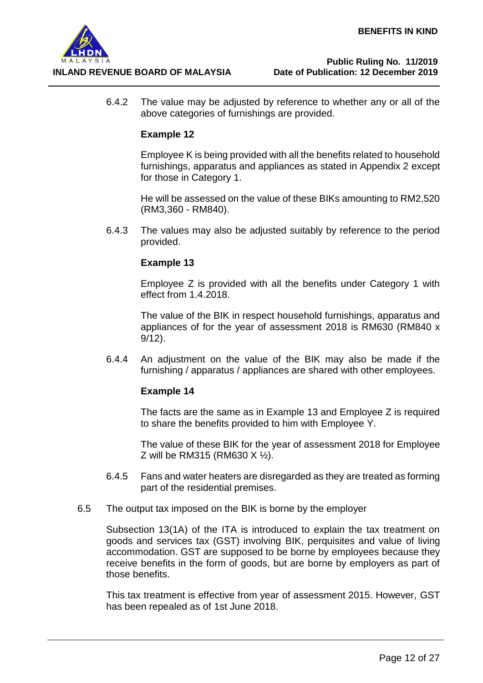

6.4.2 The value may be adjusted by reference to whether any or all of the above categories of furnishings are provided.

# **Example 12**

Employee K is being provided with all the benefits related to household furnishings, apparatus and appliances as stated in Appendix 2 except for those in Category 1.

He will be assessed on the value of these BIKs amounting to RM2,520 (RM3,360 - RM840).

6.4.3 The values may also be adjusted suitably by reference to the period provided.

### **Example 13**

Employee Z is provided with all the benefits under Category 1 with effect from 1.4.2018.

The value of the BIK in respect household furnishings, apparatus and appliances of for the year of assessment 2018 is RM630 (RM840 x 9/12).

6.4.4 An adjustment on the value of the BIK may also be made if the furnishing / apparatus / appliances are shared with other employees.

### **Example 14**

The facts are the same as in Example 13 and Employee Z is required to share the benefits provided to him with Employee Y.

The value of these BIK for the year of assessment 2018 for Employee Z will be RM315 (RM630  $X \frac{1}{2}$ ).

- 6.4.5 Fans and water heaters are disregarded as they are treated as forming part of the residential premises.
- 6.5 The output tax imposed on the BIK is borne by the employer

Subsection 13(1A) of the ITA is introduced to explain the tax treatment on goods and services tax (GST) involving BIK, perquisites and value of living accommodation. GST are supposed to be borne by employees because they receive benefits in the form of goods, but are borne by employers as part of those benefits.

This tax treatment is effective from year of assessment 2015. However, GST has been repealed as of 1st June 2018.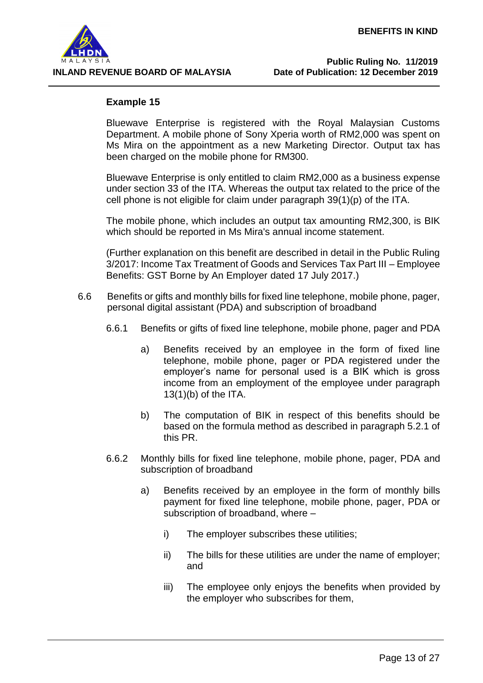

## **Example 15**

Bluewave Enterprise is registered with the Royal Malaysian Customs Department. A mobile phone of Sony Xperia worth of RM2,000 was spent on Ms Mira on the appointment as a new Marketing Director. Output tax has been charged on the mobile phone for RM300.

Bluewave Enterprise is only entitled to claim RM2,000 as a business expense under section 33 of the ITA. Whereas the output tax related to the price of the cell phone is not eligible for claim under paragraph 39(1)(p) of the ITA.

The mobile phone, which includes an output tax amounting RM2,300, is BIK which should be reported in Ms Mira's annual income statement.

(Further explanation on this benefit are described in detail in the Public Ruling 3/2017: Income Tax Treatment of Goods and Services Tax Part III – Employee Benefits: GST Borne by An Employer dated 17 July 2017.)

- 6.6 Benefits or gifts and monthly bills for fixed line telephone, mobile phone, pager, personal digital assistant (PDA) and subscription of broadband
	- 6.6.1 Benefits or gifts of fixed line telephone, mobile phone, pager and PDA
		- a) Benefits received by an employee in the form of fixed line telephone, mobile phone, pager or PDA registered under the employer's name for personal used is a BIK which is gross income from an employment of the employee under paragraph 13(1)(b) of the ITA.
		- b) The computation of BIK in respect of this benefits should be based on the formula method as described in paragraph 5.2.1 of this PR.
	- 6.6.2 Monthly bills for fixed line telephone, mobile phone, pager, PDA and subscription of broadband
		- a) Benefits received by an employee in the form of monthly bills payment for fixed line telephone, mobile phone, pager, PDA or subscription of broadband, where –
			- i) The employer subscribes these utilities;
			- ii) The bills for these utilities are under the name of employer; and
			- iii) The employee only enjoys the benefits when provided by the employer who subscribes for them,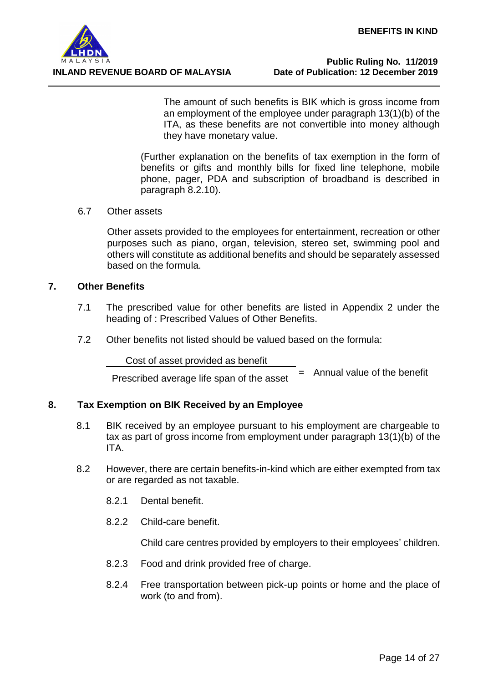

The amount of such benefits is BIK which is gross income from an employment of the employee under paragraph 13(1)(b) of the ITA, as these benefits are not convertible into money although they have monetary value.

(Further explanation on the benefits of tax exemption in the form of benefits or gifts and monthly bills for fixed line telephone, mobile phone, pager, PDA and subscription of broadband is described in paragraph 8.2.10).

## 6.7 Other assets

Other assets provided to the employees for entertainment, recreation or other purposes such as piano, organ, television, stereo set, swimming pool and others will constitute as additional benefits and should be separately assessed based on the formula.

# **7. Other Benefits**

- 7.1 The prescribed value for other benefits are listed in Appendix 2 under the heading of : Prescribed Values of Other Benefits.
- 7.2 Other benefits not listed should be valued based on the formula:

| Cost of asset provided as benefit         |                                 |
|-------------------------------------------|---------------------------------|
| Prescribed average life span of the asset | $=$ Annual value of the benefit |

# **8. Tax Exemption on BIK Received by an Employee**

- 8.1 BIK received by an employee pursuant to his employment are chargeable to tax as part of gross income from employment under paragraph 13(1)(b) of the ITA.
- 8.2 However, there are certain benefits-in-kind which are either exempted from tax or are regarded as not taxable.
	- 8.2.1 Dental benefit.
	- 8.2.2 Child-care benefit.

Child care centres provided by employers to their employees' children.

- 8.2.3 Food and drink provided free of charge.
- 8.2.4 Free transportation between pick-up points or home and the place of work (to and from).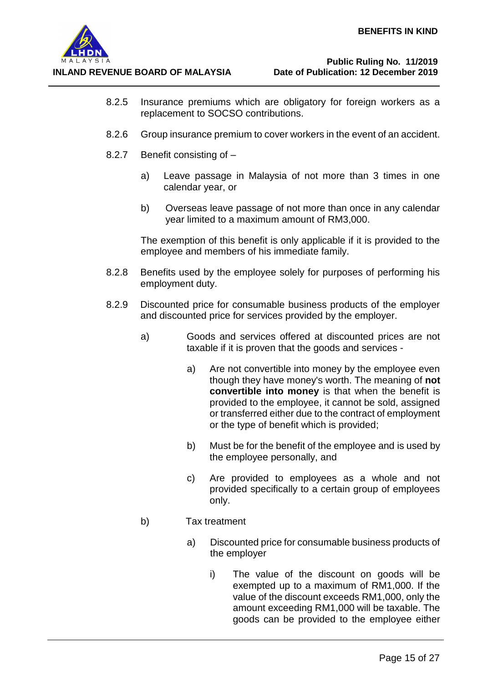

- 8.2.5 Insurance premiums which are obligatory for foreign workers as a replacement to SOCSO contributions.
- 8.2.6 Group insurance premium to cover workers in the event of an accident.
- 8.2.7 Benefit consisting of
	- a) Leave passage in Malaysia of not more than 3 times in one calendar year, or
	- b) Overseas leave passage of not more than once in any calendar year limited to a maximum amount of RM3,000.

The exemption of this benefit is only applicable if it is provided to the employee and members of his immediate family.

- 8.2.8 Benefits used by the employee solely for purposes of performing his employment duty.
- 8.2.9 Discounted price for consumable business products of the employer and discounted price for services provided by the employer.
	- a) Goods and services offered at discounted prices are not taxable if it is proven that the goods and services
		- a) Are not convertible into money by the employee even though they have money's worth. The meaning of **not convertible into money** is that when the benefit is provided to the employee, it cannot be sold, assigned or transferred either due to the contract of employment or the type of benefit which is provided;
		- b) Must be for the benefit of the employee and is used by the employee personally, and
		- c) Are provided to employees as a whole and not provided specifically to a certain group of employees only.
	- b) Tax treatment
		- a) Discounted price for consumable business products of the employer
			- i) The value of the discount on goods will be exempted up to a maximum of RM1,000. If the value of the discount exceeds RM1,000, only the amount exceeding RM1,000 will be taxable. The goods can be provided to the employee either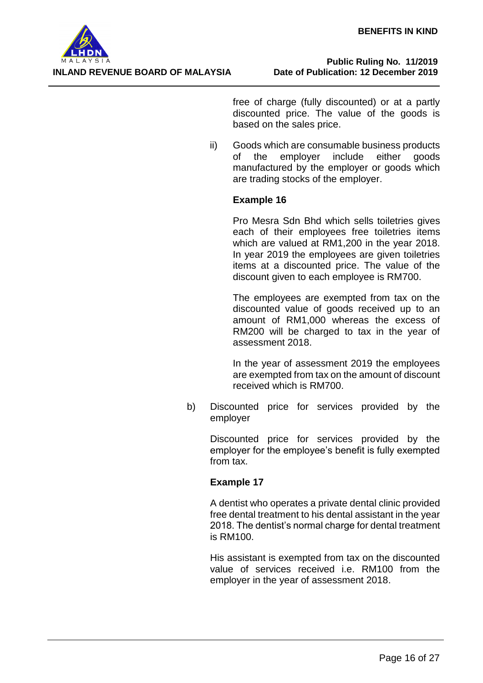

free of charge (fully discounted) or at a partly discounted price. The value of the goods is based on the sales price.

ii) Goods which are consumable business products of the employer include either goods manufactured by the employer or goods which are trading stocks of the employer.

## **Example 16**

Pro Mesra Sdn Bhd which sells toiletries gives each of their employees free toiletries items which are valued at RM1,200 in the year 2018. In year 2019 the employees are given toiletries items at a discounted price. The value of the discount given to each employee is RM700.

The employees are exempted from tax on the discounted value of goods received up to an amount of RM1,000 whereas the excess of RM200 will be charged to tax in the year of assessment 2018.

In the year of assessment 2019 the employees are exempted from tax on the amount of discount received which is RM700.

b) Discounted price for services provided by the employer

Discounted price for services provided by the employer for the employee's benefit is fully exempted from tax.

# **Example 17**

A dentist who operates a private dental clinic provided free dental treatment to his dental assistant in the year 2018. The dentist's normal charge for dental treatment is RM100.

His assistant is exempted from tax on the discounted value of services received i.e. RM100 from the employer in the year of assessment 2018.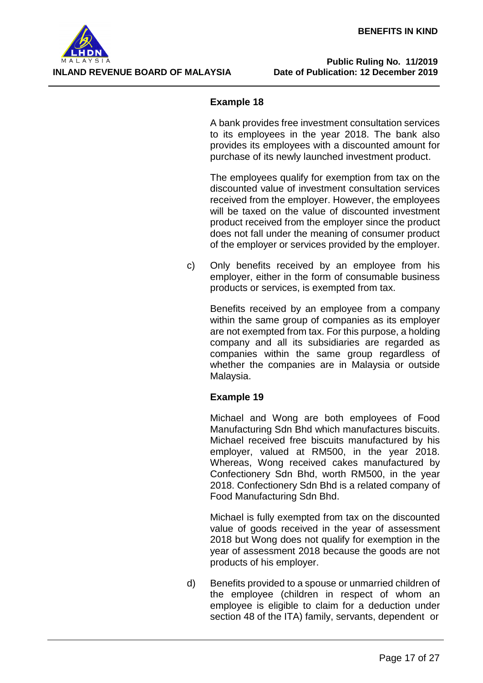

# **Example 18**

A bank provides free investment consultation services to its employees in the year 2018. The bank also provides its employees with a discounted amount for purchase of its newly launched investment product.

The employees qualify for exemption from tax on the discounted value of investment consultation services received from the employer. However, the employees will be taxed on the value of discounted investment product received from the employer since the product does not fall under the meaning of consumer product of the employer or services provided by the employer.

c) Only benefits received by an employee from his employer, either in the form of consumable business products or services, is exempted from tax.

Benefits received by an employee from a company within the same group of companies as its employer are not exempted from tax. For this purpose, a holding company and all its subsidiaries are regarded as companies within the same group regardless of whether the companies are in Malaysia or outside Malaysia.

# **Example 19**

Michael and Wong are both employees of Food Manufacturing Sdn Bhd which manufactures biscuits. Michael received free biscuits manufactured by his employer, valued at RM500, in the year 2018. Whereas, Wong received cakes manufactured by Confectionery Sdn Bhd, worth RM500, in the year 2018. Confectionery Sdn Bhd is a related company of Food Manufacturing Sdn Bhd.

Michael is fully exempted from tax on the discounted value of goods received in the year of assessment 2018 but Wong does not qualify for exemption in the year of assessment 2018 because the goods are not products of his employer.

d) Benefits provided to a spouse or unmarried children of the employee (children in respect of whom an employee is eligible to claim for a deduction under section 48 of the ITA) family, servants, dependent or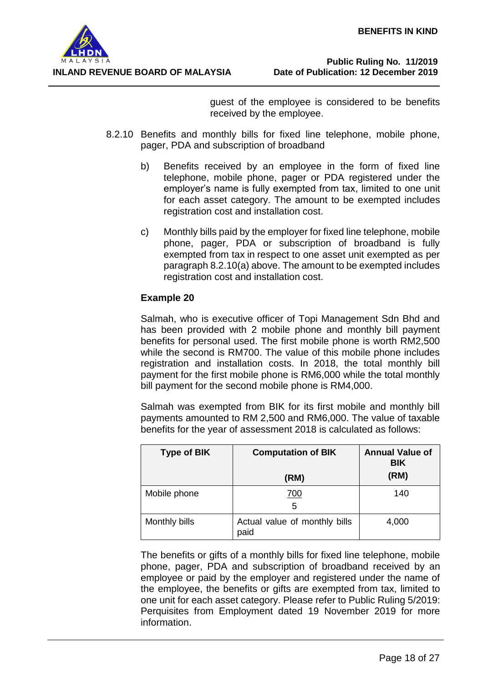

guest of the employee is considered to be benefits received by the employee.

- 8.2.10 Benefits and monthly bills for fixed line telephone, mobile phone, pager, PDA and subscription of broadband
	- b) Benefits received by an employee in the form of fixed line telephone, mobile phone, pager or PDA registered under the employer's name is fully exempted from tax, limited to one unit for each asset category. The amount to be exempted includes registration cost and installation cost.
	- c) Monthly bills paid by the employer for fixed line telephone, mobile phone, pager, PDA or subscription of broadband is fully exempted from tax in respect to one asset unit exempted as per paragraph 8.2.10(a) above. The amount to be exempted includes registration cost and installation cost.

# **Example 20**

Salmah, who is executive officer of Topi Management Sdn Bhd and has been provided with 2 mobile phone and monthly bill payment benefits for personal used. The first mobile phone is worth RM2,500 while the second is RM700. The value of this mobile phone includes registration and installation costs. In 2018, the total monthly bill payment for the first mobile phone is RM6,000 while the total monthly bill payment for the second mobile phone is RM4,000.

Salmah was exempted from BIK for its first mobile and monthly bill payments amounted to RM 2,500 and RM6,000. The value of taxable benefits for the year of assessment 2018 is calculated as follows:

| <b>Type of BIK</b> | <b>Computation of BIK</b>             | <b>Annual Value of</b><br><b>BIK</b> |  |
|--------------------|---------------------------------------|--------------------------------------|--|
|                    | (RM)                                  | (RM)                                 |  |
| Mobile phone       | <u>700</u><br>5                       | 140                                  |  |
| Monthly bills      | Actual value of monthly bills<br>paid | 4,000                                |  |

The benefits or gifts of a monthly bills for fixed line telephone, mobile phone, pager, PDA and subscription of broadband received by an employee or paid by the employer and registered under the name of the employee, the benefits or gifts are exempted from tax, limited to one unit for each asset category. Please refer to Public Ruling 5/2019: Perquisites from Employment dated 19 November 2019 for more information.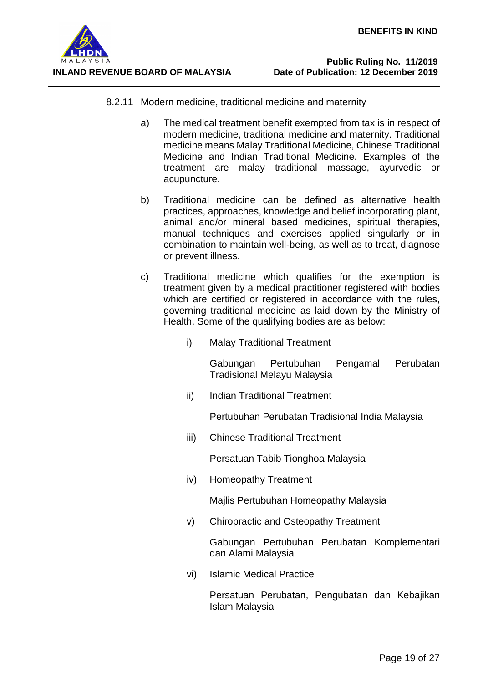

- 8.2.11 Modern medicine, traditional medicine and maternity
	- a) The medical treatment benefit exempted from tax is in respect of modern medicine, traditional medicine and maternity. Traditional medicine means Malay Traditional Medicine, Chinese Traditional Medicine and Indian Traditional Medicine. Examples of the treatment are malay traditional massage, ayurvedic or acupuncture.
	- b) Traditional medicine can be defined as alternative health practices, approaches, knowledge and belief incorporating plant, animal and/or mineral based medicines, spiritual therapies, manual techniques and exercises applied singularly or in combination to maintain well-being, as well as to treat, diagnose or prevent illness.
	- c) Traditional medicine which qualifies for the exemption is treatment given by a medical practitioner registered with bodies which are certified or registered in accordance with the rules, governing traditional medicine as laid down by the Ministry of Health. Some of the qualifying bodies are as below:
		- i) Malay Traditional Treatment

Gabungan Pertubuhan Pengamal Perubatan Tradisional Melayu Malaysia

ii) Indian Traditional Treatment

Pertubuhan Perubatan Tradisional India Malaysia

iii) Chinese Traditional Treatment

Persatuan Tabib Tionghoa Malaysia

iv) Homeopathy Treatment

Majlis Pertubuhan Homeopathy Malaysia

v) Chiropractic and Osteopathy Treatment

Gabungan Pertubuhan Perubatan Komplementari dan Alami Malaysia

vi) Islamic Medical Practice

Persatuan Perubatan, Pengubatan dan Kebajikan Islam Malaysia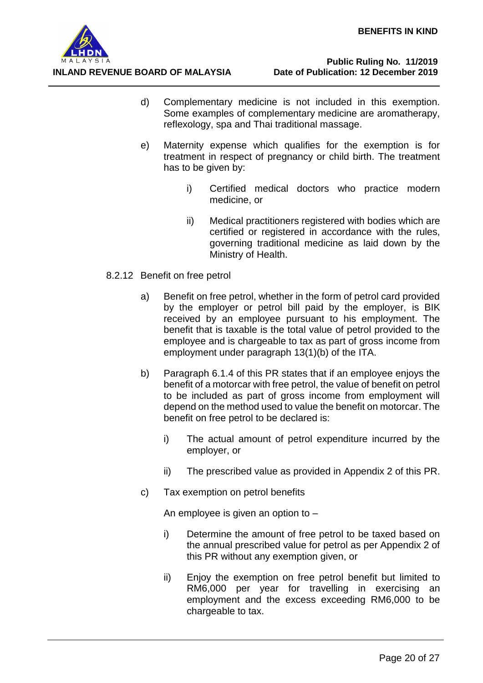

- d) Complementary medicine is not included in this exemption. Some examples of complementary medicine are aromatherapy, reflexology, spa and Thai traditional massage.
- e) Maternity expense which qualifies for the exemption is for treatment in respect of pregnancy or child birth. The treatment has to be given by:
	- i) Certified medical doctors who practice modern medicine, or
	- ii) Medical practitioners registered with bodies which are certified or registered in accordance with the rules, governing traditional medicine as laid down by the Ministry of Health.
- 8.2.12 Benefit on free petrol
	- a) Benefit on free petrol, whether in the form of petrol card provided by the employer or petrol bill paid by the employer, is BIK received by an employee pursuant to his employment. The benefit that is taxable is the total value of petrol provided to the employee and is chargeable to tax as part of gross income from employment under paragraph 13(1)(b) of the ITA.
	- b) Paragraph 6.1.4 of this PR states that if an employee enjoys the benefit of a motorcar with free petrol, the value of benefit on petrol to be included as part of gross income from employment will depend on the method used to value the benefit on motorcar. The benefit on free petrol to be declared is:
		- i) The actual amount of petrol expenditure incurred by the employer, or
		- ii) The prescribed value as provided in Appendix 2 of this PR.
	- c) Tax exemption on petrol benefits

An employee is given an option to –

- i) Determine the amount of free petrol to be taxed based on the annual prescribed value for petrol as per Appendix 2 of this PR without any exemption given, or
- ii) Enjoy the exemption on free petrol benefit but limited to RM6,000 per year for travelling in exercising an employment and the excess exceeding RM6,000 to be chargeable to tax.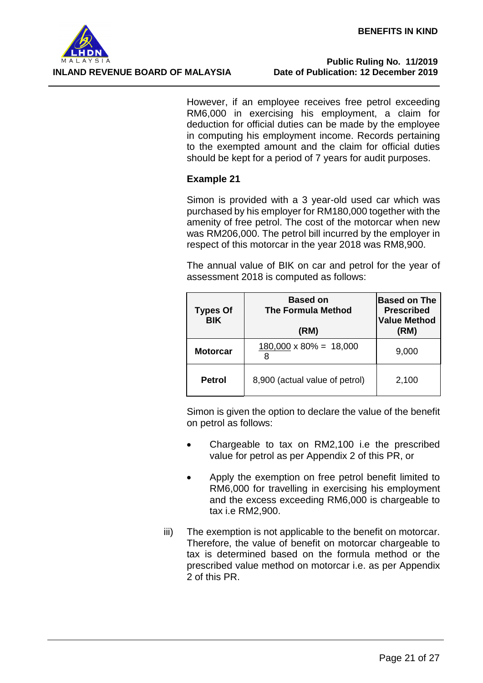

However, if an employee receives free petrol exceeding RM6,000 in exercising his employment, a claim for deduction for official duties can be made by the employee in computing his employment income. Records pertaining to the exempted amount and the claim for official duties should be kept for a period of 7 years for audit purposes.

# **Example 21**

Simon is provided with a 3 year-old used car which was purchased by his employer for RM180,000 together with the amenity of free petrol. The cost of the motorcar when new was RM206,000. The petrol bill incurred by the employer in respect of this motorcar in the year 2018 was RM8,900.

The annual value of BIK on car and petrol for the year of assessment 2018 is computed as follows:

| <b>Types Of</b><br><b>BIK</b> | <b>Based on</b><br><b>The Formula Method</b><br>(RM) | <b>Based on The</b><br><b>Prescribed</b><br><b>Value Method</b><br>(RM) |
|-------------------------------|------------------------------------------------------|-------------------------------------------------------------------------|
| <b>Motorcar</b>               | $180,000 \times 80\% = 18,000$                       | 9,000                                                                   |
| <b>Petrol</b>                 | 8,900 (actual value of petrol)                       | 2,100                                                                   |

Simon is given the option to declare the value of the benefit on petrol as follows:

- Chargeable to tax on RM2,100 i.e the prescribed value for petrol as per Appendix 2 of this PR, or
- Apply the exemption on free petrol benefit limited to RM6,000 for travelling in exercising his employment and the excess exceeding RM6,000 is chargeable to tax i.e RM2,900.
- iii) The exemption is not applicable to the benefit on motorcar. Therefore, the value of benefit on motorcar chargeable to tax is determined based on the formula method or the prescribed value method on motorcar i.e. as per Appendix 2 of this PR.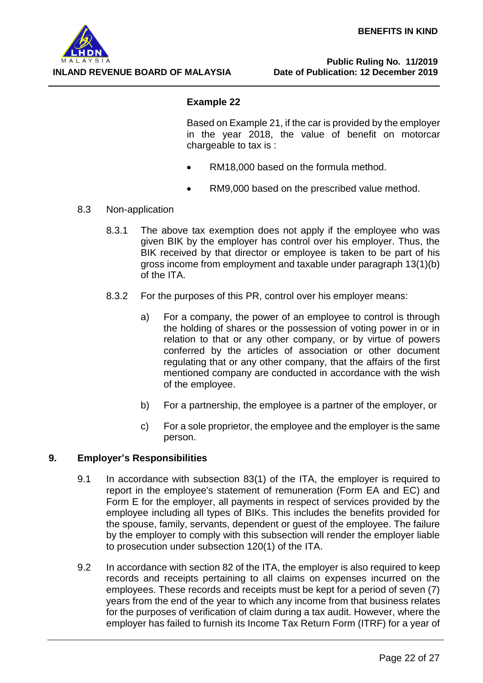

# **Example 22**

Based on Example 21, if the car is provided by the employer in the year 2018, the value of benefit on motorcar chargeable to tax is :

- RM18,000 based on the formula method.
- RM9,000 based on the prescribed value method.
- 8.3 Non-application
	- 8.3.1 The above tax exemption does not apply if the employee who was given BIK by the employer has control over his employer. Thus, the BIK received by that director or employee is taken to be part of his gross income from employment and taxable under paragraph 13(1)(b) of the ITA.
	- 8.3.2 For the purposes of this PR, control over his employer means:
		- a) For a company, the power of an employee to control is through the holding of shares or the possession of voting power in or in relation to that or any other company, or by virtue of powers conferred by the articles of association or other document regulating that or any other company, that the affairs of the first mentioned company are conducted in accordance with the wish of the employee.
		- b) For a partnership, the employee is a partner of the employer, or
		- c) For a sole proprietor, the employee and the employer is the same person.

### **9. Employer's Responsibilities**

- 9.1 In accordance with subsection 83(1) of the ITA, the employer is required to report in the employee's statement of remuneration (Form EA and EC) and Form E for the employer, all payments in respect of services provided by the employee including all types of BIKs. This includes the benefits provided for the spouse, family, servants, dependent or guest of the employee. The failure by the employer to comply with this subsection will render the employer liable to prosecution under subsection 120(1) of the ITA.
- 9.2 In accordance with section 82 of the ITA, the employer is also required to keep records and receipts pertaining to all claims on expenses incurred on the employees. These records and receipts must be kept for a period of seven (7) years from the end of the year to which any income from that business relates for the purposes of verification of claim during a tax audit. However, where the employer has failed to furnish its Income Tax Return Form (ITRF) for a year of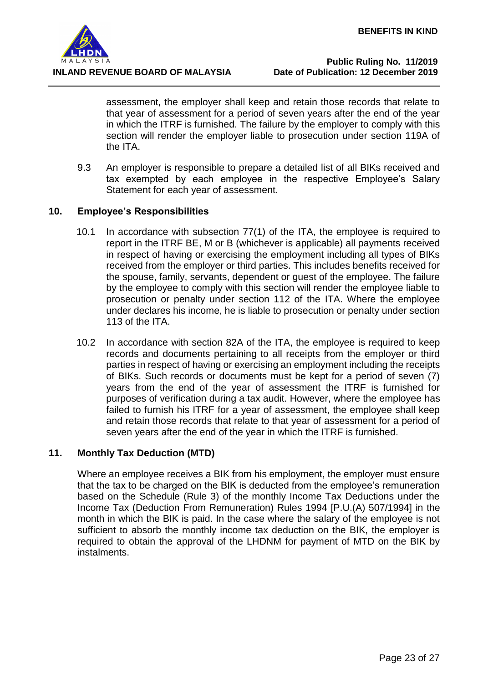

assessment, the employer shall keep and retain those records that relate to that year of assessment for a period of seven years after the end of the year in which the ITRF is furnished. The failure by the employer to comply with this section will render the employer liable to prosecution under section 119A of the ITA.

9.3 An employer is responsible to prepare a detailed list of all BIKs received and tax exempted by each employee in the respective Employee's Salary Statement for each year of assessment.

### **10. Employee's Responsibilities**

- 10.1 In accordance with subsection 77(1) of the ITA, the employee is required to report in the ITRF BE, M or B (whichever is applicable) all payments received in respect of having or exercising the employment including all types of BIKs received from the employer or third parties. This includes benefits received for the spouse, family, servants, dependent or guest of the employee. The failure by the employee to comply with this section will render the employee liable to prosecution or penalty under section 112 of the ITA. Where the employee under declares his income, he is liable to prosecution or penalty under section 113 of the ITA.
- 10.2 In accordance with section 82A of the ITA, the employee is required to keep records and documents pertaining to all receipts from the employer or third parties in respect of having or exercising an employment including the receipts of BIKs. Such records or documents must be kept for a period of seven (7) years from the end of the year of assessment the ITRF is furnished for purposes of verification during a tax audit. However, where the employee has failed to furnish his ITRF for a year of assessment, the employee shall keep and retain those records that relate to that year of assessment for a period of seven years after the end of the year in which the ITRF is furnished.

### **11. Monthly Tax Deduction (MTD)**

Where an employee receives a BIK from his employment, the employer must ensure that the tax to be charged on the BIK is deducted from the employee's remuneration based on the Schedule (Rule 3) of the monthly Income Tax Deductions under the Income Tax (Deduction From Remuneration) Rules 1994 [P.U.(A) 507/1994] in the month in which the BIK is paid. In the case where the salary of the employee is not sufficient to absorb the monthly income tax deduction on the BIK, the employer is required to obtain the approval of the LHDNM for payment of MTD on the BIK by instalments.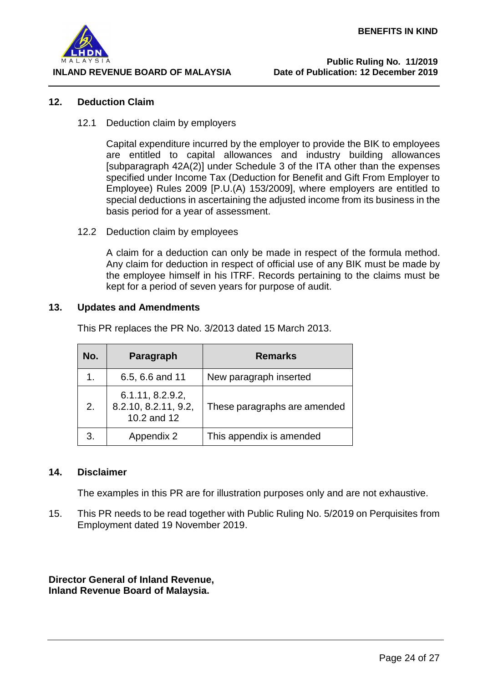

### **12. Deduction Claim**

### 12.1 Deduction claim by employers

Capital expenditure incurred by the employer to provide the BIK to employees are entitled to capital allowances and industry building allowances [subparagraph 42A(2)] under Schedule 3 of the ITA other than the expenses specified under Income Tax (Deduction for Benefit and Gift From Employer to Employee) Rules 2009 [P.U.(A) 153/2009], where employers are entitled to special deductions in ascertaining the adjusted income from its business in the basis period for a year of assessment.

### 12.2 Deduction claim by employees

A claim for a deduction can only be made in respect of the formula method. Any claim for deduction in respect of official use of any BIK must be made by the employee himself in his ITRF. Records pertaining to the claims must be kept for a period of seven years for purpose of audit.

### **13. Updates and Amendments**

This PR replaces the PR No. 3/2013 dated 15 March 2013.

| No. | Paragraph                                               | <b>Remarks</b>               |
|-----|---------------------------------------------------------|------------------------------|
|     | 6.5, 6.6 and 11                                         | New paragraph inserted       |
| 2.  | 6.1.11, 8.2.9.2,<br>8.2.10, 8.2.11, 9.2,<br>10.2 and 12 | These paragraphs are amended |
| 3.  | Appendix 2                                              | This appendix is amended     |

### **14. Disclaimer**

The examples in this PR are for illustration purposes only and are not exhaustive.

15. This PR needs to be read together with Public Ruling No. 5/2019 on Perquisites from Employment dated 19 November 2019.

**Director General of Inland Revenue, Inland Revenue Board of Malaysia.**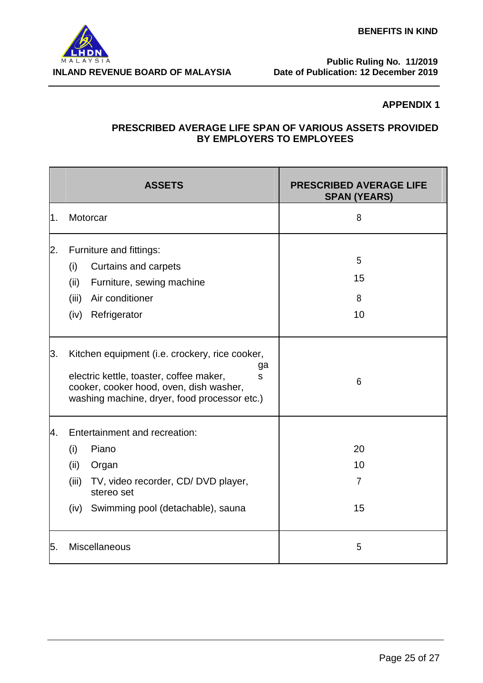

## **APPENDIX 1**

### **PRESCRIBED AVERAGE LIFE SPAN OF VARIOUS ASSETS PROVIDED BY EMPLOYERS TO EMPLOYEES**

|     | <b>ASSETS</b>                                                                                                                                                                                   | <b>PRESCRIBED AVERAGE LIFE</b><br><b>SPAN (YEARS)</b> |
|-----|-------------------------------------------------------------------------------------------------------------------------------------------------------------------------------------------------|-------------------------------------------------------|
| 1.  | Motorcar                                                                                                                                                                                        | 8                                                     |
| 2.  | Furniture and fittings:<br>(i)<br><b>Curtains and carpets</b><br>(ii)<br>Furniture, sewing machine<br>Air conditioner<br>(iii)<br>Refrigerator<br>(iv)                                          | 5<br>15<br>8<br>10                                    |
| 3.  | Kitchen equipment (i.e. crockery, rice cooker,<br>ga<br>electric kettle, toaster, coffee maker,<br>S<br>cooker, cooker hood, oven, dish washer,<br>washing machine, dryer, food processor etc.) | 6                                                     |
| Ι4. | Entertainment and recreation:<br>Piano<br>(i)<br>Organ<br>(ii)<br>TV, video recorder, CD/ DVD player,<br>(iii)<br>stereo set<br>Swimming pool (detachable), sauna<br>(iv)                       | 20<br>10<br>$\overline{7}$<br>15                      |
| 5.  | Miscellaneous                                                                                                                                                                                   | 5                                                     |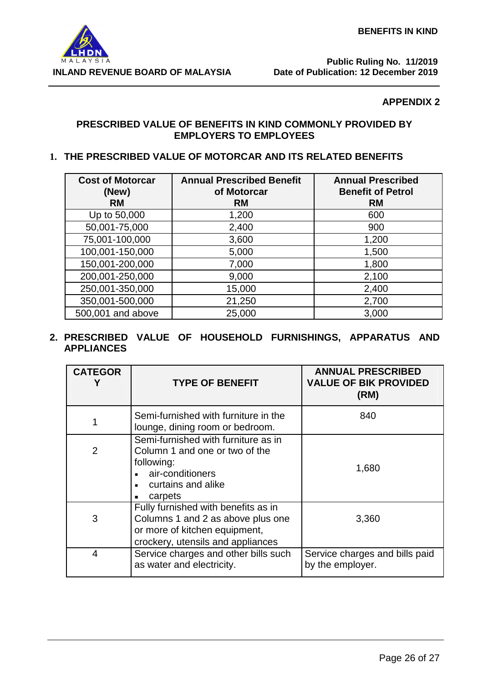

### **APPENDIX 2**

# **PRESCRIBED VALUE OF BENEFITS IN KIND COMMONLY PROVIDED BY EMPLOYERS TO EMPLOYEES**

# **1. THE PRESCRIBED VALUE OF MOTORCAR AND ITS RELATED BENEFITS**

| <b>Cost of Motorcar</b><br>(New)<br><b>RM</b> | <b>Annual Prescribed Benefit</b><br>of Motorcar | <b>Annual Prescribed</b><br><b>Benefit of Petrol</b> |
|-----------------------------------------------|-------------------------------------------------|------------------------------------------------------|
|                                               | <b>RM</b>                                       | <b>RM</b>                                            |
| Up to 50,000                                  | 1,200                                           | 600                                                  |
| 50,001-75,000                                 | 2,400                                           | 900                                                  |
| 75,001-100,000                                | 3,600                                           | 1,200                                                |
| 100,001-150,000                               | 5,000                                           | 1,500                                                |
| 150,001-200,000                               | 7,000                                           | 1,800                                                |
| 200,001-250,000                               | 9,000                                           | 2,100                                                |
| 250,001-350,000                               | 15,000                                          | 2,400                                                |
| 350,001-500,000                               | 21,250                                          | 2,700                                                |
| 500,001 and above                             | 25,000                                          | 3,000                                                |

# **2. PRESCRIBED VALUE OF HOUSEHOLD FURNISHINGS, APPARATUS AND APPLIANCES**

| <b>CATEGOR</b> | <b>TYPE OF BENEFIT</b>                                                                                                                         | <b>ANNUAL PRESCRIBED</b><br><b>VALUE OF BIK PROVIDED</b><br>(RM) |
|----------------|------------------------------------------------------------------------------------------------------------------------------------------------|------------------------------------------------------------------|
|                | Semi-furnished with furniture in the<br>lounge, dining room or bedroom.                                                                        | 840                                                              |
| $\overline{2}$ | Semi-furnished with furniture as in<br>Column 1 and one or two of the<br>following:<br>air-conditioners<br>• curtains and alike<br>carpets     | 1,680                                                            |
| 3              | Fully furnished with benefits as in<br>Columns 1 and 2 as above plus one<br>or more of kitchen equipment,<br>crockery, utensils and appliances | 3,360                                                            |
| 4              | Service charges and other bills such<br>as water and electricity.                                                                              | Service charges and bills paid<br>by the employer.               |